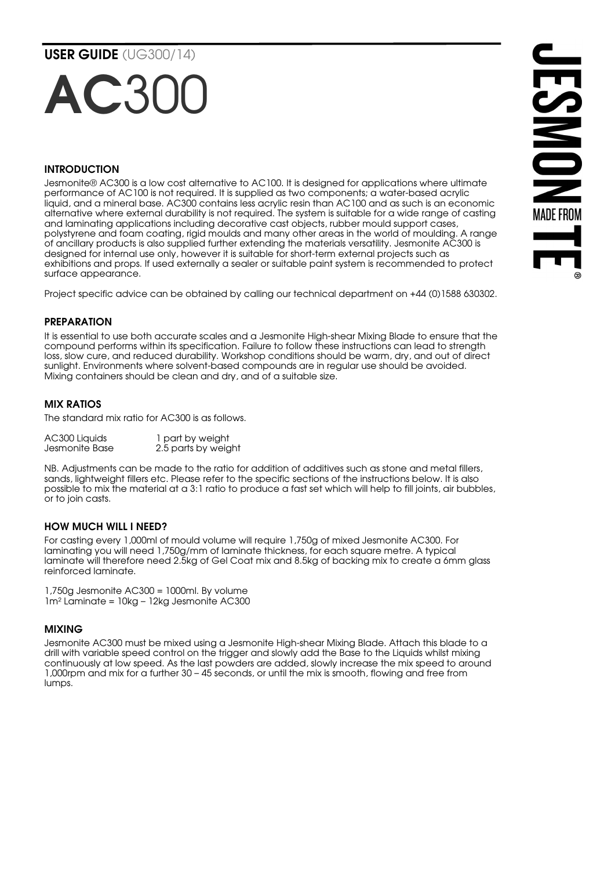# USER GUIDE (UG300/14)

# AC30

# INTRODUCTION

Jesmonite® AC300 is a low cost alternative to AC100. It is designed for applications where ultimate performance of AC100 is not required. It is supplied as two components; a water-based acrylic liquid, and a mineral base. AC300 contains less acrylic resin than AC100 and as such is an economic alternative where external durability is not required. The system is suitable for a wide range of casting and laminating applications including decorative cast objects, rubber mould support cases, polystyrene and foam coating, rigid moulds and many other areas in the world of moulding. A range of ancillary products is also supplied further extending the materials versatility. Jesmonite AC300 is designed for internal use only, however it is suitable for short-term external projects such as exhibitions and props. If used externally a sealer or suitable paint system is recommended to protect surface appearance.

Project specific advice can be obtained by calling our technical department on +44 (0)1588 630302.

#### PREPARATION

It is essential to use both accurate scales and a Jesmonite High-shear Mixing Blade to ensure that the compound performs within its specification. Failure to follow these instructions can lead to strength loss, slow cure, and reduced durability. Workshop conditions should be warm, dry, and out of direct sunlight. Environments where solvent-based compounds are in regular use should be avoided. Mixing containers should be clean and dry, and of a suitable size.

## MIX RATIOS

The standard mix ratio for AC300 is as follows.

| AC300 Liquids  | 1 part by weight    |
|----------------|---------------------|
| Jesmonite Base | 2.5 parts by weight |

NB. Adjustments can be made to the ratio for addition of additives such as stone and metal fillers, sands, lightweight fillers etc. Please refer to the specific sections of the instructions below. It is also possible to mix the material at a 3:1 ratio to produce a fast set which will help to fill joints, air bubbles, or to join casts.

#### HOW MUCH WILL I NEED?

For casting every 1,000ml of mould volume will require 1,750g of mixed Jesmonite AC300. For laminating you will need 1,750g/mm of laminate thickness, for each square metre. A typical laminate will therefore need 2.5kg of Gel Coat mix and 8.5kg of backing mix to create a 6mm glass reinforced laminate.

1,750g Jesmonite AC300 = 1000ml. By volume 1m² Laminate = 10kg – 12kg Jesmonite AC300

#### MIXING

Jesmonite AC300 must be mixed using a Jesmonite High-shear Mixing Blade. Attach this blade to a drill with variable speed control on the trigger and slowly add the Base to the Liquids whilst mixing continuously at low speed. As the last powders are added, slowly increase the mix speed to around 1,000rpm and mix for a further 30 – 45 seconds, or until the mix is smooth, flowing and free from lumps.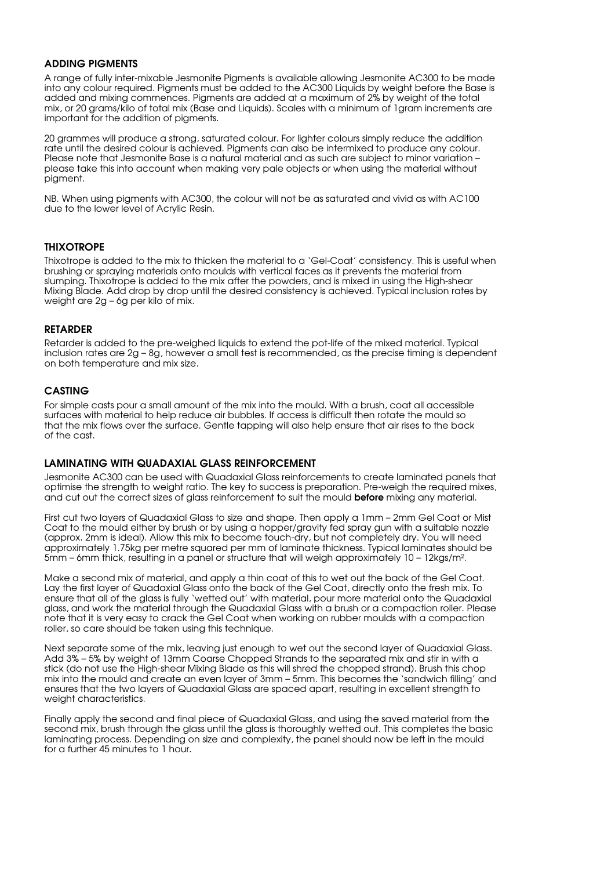#### ADDING PIGMENTS

A range of fully inter-mixable Jesmonite Pigments is available allowing Jesmonite AC300 to be made into any colour required. Pigments must be added to the AC300 Liquids by weight before the Base is added and mixing commences. Pigments are added at a maximum of 2% by weight of the total mix, or 20 grams/kilo of total mix (Base and Liquids). Scales with a minimum of 1gram increments are important for the addition of pigments.

20 grammes will produce a strong, saturated colour. For lighter colours simply reduce the addition rate until the desired colour is achieved. Pigments can also be intermixed to produce any colour. Please note that Jesmonite Base is a natural material and as such are subject to minor variation – please take this into account when making very pale objects or when using the material without pigment.

NB. When using pigments with AC300, the colour will not be as saturated and vivid as with AC100 due to the lower level of Acrylic Resin.

## **THIXOTROPE**

Thixotrope is added to the mix to thicken the material to a 'Gel-Coat' consistency. This is useful when brushing or spraying materials onto moulds with vertical faces as it prevents the material from slumping. Thixotrope is added to the mix after the powders, and is mixed in using the High-shear Mixing Blade. Add drop by drop until the desired consistency is achieved. Typical inclusion rates by weight are 2g – 6g per kilo of mix.

#### RETARDER

Retarder is added to the pre-weighed liquids to extend the pot-life of the mixed material. Typical inclusion rates are 2g – 8g, however a small test is recommended, as the precise timing is dependent on both temperature and mix size.

## CASTING

For simple casts pour a small amount of the mix into the mould. With a brush, coat all accessible surfaces with material to help reduce air bubbles. If access is difficult then rotate the mould so that the mix flows over the surface. Gentle tapping will also help ensure that air rises to the back of the cast.

#### LAMINATING WITH QUADAXIAL GLASS REINFORCEMENT

Jesmonite AC300 can be used with Quadaxial Glass reinforcements to create laminated panels that optimise the strength to weight ratio. The key to success is preparation. Pre-weigh the required mixes, and cut out the correct sizes of glass reinforcement to suit the mould **before** mixing any material.

First cut two layers of Quadaxial Glass to size and shape. Then apply a 1mm – 2mm Gel Coat or Mist Coat to the mould either by brush or by using a hopper/gravity fed spray gun with a suitable nozzle (approx. 2mm is ideal). Allow this mix to become touch-dry, but not completely dry. You will need approximately 1.75kg per metre squared per mm of laminate thickness. Typical laminates should be 5mm – 6mm thick, resulting in a panel or structure that will weigh approximately 10 – 12kgs/m².

Make a second mix of material, and apply a thin coat of this to wet out the back of the Gel Coat. Lay the first layer of Quadaxial Glass onto the back of the Gel Coat, directly onto the fresh mix. To ensure that all of the glass is fully 'wetted out' with material, pour more material onto the Quadaxial glass, and work the material through the Quadaxial Glass with a brush or a compaction roller. Please note that it is very easy to crack the Gel Coat when working on rubber moulds with a compaction roller, so care should be taken using this technique.

Next separate some of the mix, leaving just enough to wet out the second layer of Quadaxial Glass. Add 3% – 5% by weight of 13mm Coarse Chopped Strands to the separated mix and stir in with a stick (do not use the High-shear Mixing Blade as this will shred the chopped strand). Brush this chop mix into the mould and create an even layer of 3mm – 5mm. This becomes the 'sandwich filling' and ensures that the two layers of Quadaxial Glass are spaced apart, resulting in excellent strength to weight characteristics.

Finally apply the second and final piece of Quadaxial Glass, and using the saved material from the second mix, brush through the glass until the glass is thoroughly wetted out. This completes the basic laminating process. Depending on size and complexity, the panel should now be left in the mould for a further 45 minutes to 1 hour.